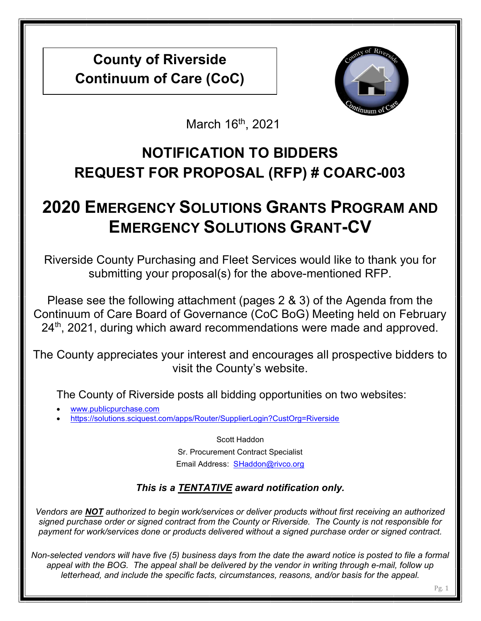County of Riverside Continuum of Care (CoC)



March 16<sup>th</sup>, 2021

## NOTIFICATION TO BIDDERS REQUEST FOR PROPOSAL (RFP) # COARC-003

# 2020 EMERGENCY SOLUTIONS GRANTS PROGRAM AND EMERGENCY SOLUTIONS GRANT-CV

Riverside County Purchasing and Fleet Services would like to thank you for submitting your proposal(s) for the above-mentioned RFP.

Please see the following attachment (pages 2 & 3) of the Agenda from the Continuum of Care Board of Governance (CoC BoG) Meeting held on February  $24<sup>th</sup>$ , 2021, during which award recommendations were made and approved.

The County appreciates your interest and encourages all prospective bidders to visit the County's website.

The County of Riverside posts all bidding opportunities on two websites:

- www.publicpurchase.com
- https://solutions.sciquest.com/apps/Router/SupplierLogin?CustOrg=Riverside

Scott Haddon Sr. Procurement Contract Specialist Email Address: SHaddon@rivco.org

## This is a TENTATIVE award notification only.

Vendors are NOT authorized to begin work/services or deliver products without first receiving an authorized signed purchase order or signed contract from the County or Riverside. The County is not responsible for payment for work/services done or products delivered without a signed purchase order or signed contract.

Non-selected vendors will have five (5) business days from the date the award notice is posted to file a formal appeal with the BOG. The appeal shall be delivered by the vendor in writing through e-mail, follow up letterhead, and include the specific facts, circumstances, reasons, and/or basis for the appeal.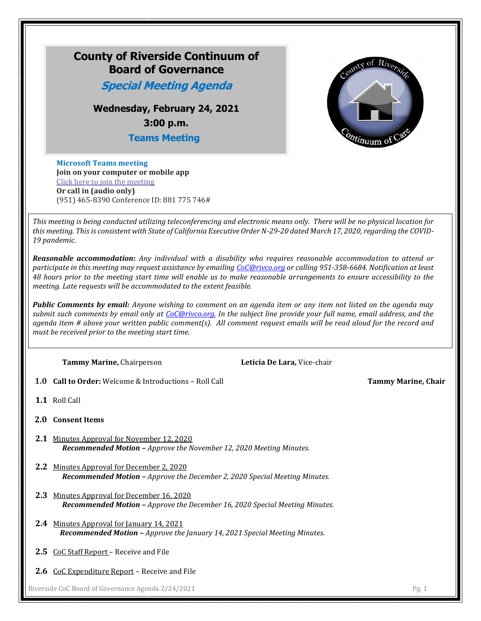

**Join on your computer or mobile app**  [Click here to join the meeting](https://teams.microsoft.com/l/meetup-join/19%3ameeting_YThiZjJkNzMtNzZlYi00Yjc5LWI0NzctM2Q1Mjg5ZTkyMTUw%40thread.v2/0?context=%7b%22Tid%22%3a%22d7f03410-e0a8-4159-b300-54980ef605d0%22%2c%22Oid%22%3a%2291162b86-9379-4da5-a4f5-79efdd53c1ab%22%7d) **Or call in (audio only)** (951) 465-8390 Conference ID: 881 775 746#

*This meeting is being conducted utilizing teleconferencing and electronic means only. There will be no physical location for this meeting. This is consistent with State of California Executive Order N-29-20 dated March 17, 2020, regarding the COVID-19 pandemic.*

*Reasonable accommodation***:** *Any individual with a disability who requires reasonable accommodation to attend or participate in this meeting may request assistance by emailing [CoC@rivco.org](mailto:CoC@rivco.org) or calling 951-358-6684. Notification at least 48 hours prior to the meeting start time will enable us to make reasonable arrangements to ensure accessibility to the meeting. Late requests will be accommodated to the extent feasible.*

*Public Comments by email: Anyone wishing to comment on an agenda item or any item not listed on the agenda may submit such comments by email only at [CoC@rivco.org.](mailto:CoC@rivco.org) In the subject line provide your full name, email address, and the agenda item # above your written public comment(s). All comment request emails will be read aloud for the record and must be received prior to the meeting start time.*

**Tammy Marine,** Chairperson **Leticia De Lara,** Vice-chair

**1.0 Call to Order:** Welcome & Introductions – Roll Call **Tammy Marine, Chair**

**1.1** Roll Call

- **2.0 Consent Items**
- **2.1** Minutes Approval for November 12, 2020 *Recommended Motion – Approve the November 12, 2020 Meeting Minutes.*
- **2.2** Minutes Approval for December 2, 2020 *Recommended Motion – Approve the December 2, 2020 Special Meeting Minutes.*
- **2.3** Minutes Approval for December 16, 2020 *Recommended Motion* **–** *Approve the December 16, 2020 Special Meeting Minutes.*
- **2.4** Minutes Approval for January 14, 2021 *Recommended Motion – Approve the January 14, 2021 Special Meeting Minutes.*
- **2.5** CoC Staff Report Receive and File
- **2.6** CoC Expenditure Report Receive and File

Riverside CoC Board of Governance Agenda 2/24/2021 Pg. 1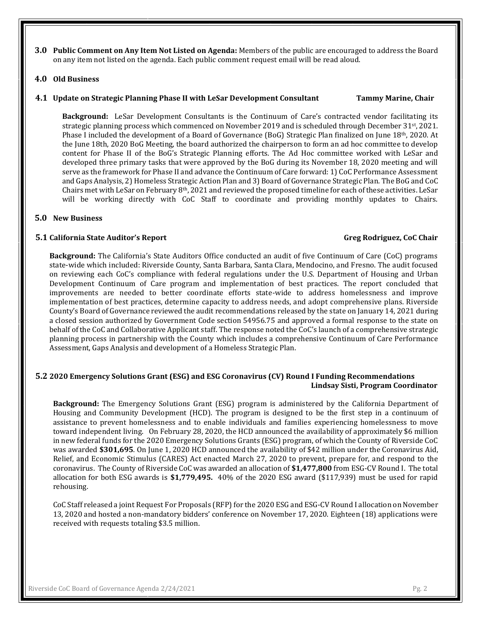**3.0 Public Comment on Any Item Not Listed on Agenda:** Members of the public are encouraged to address the Board on any item not listed on the agenda. Each public comment request email will be read aloud.

#### **4.0 Old Business**

#### **4.1 Update on Strategic Planning Phase II with LeSar Development Consultant Tammy Marine, Chair**

**Background:** LeSar Development Consultants is the Continuum of Care's contracted vendor facilitating its strategic planning process which commenced on November 2019 and is scheduled through December 31st, 2021. Phase I included the development of a Board of Governance (BoG) Strategic Plan finalized on June 18th, 2020. At the June 18th, 2020 BoG Meeting, the board authorized the chairperson to form an ad hoc committee to develop content for Phase II of the BoG's Strategic Planning efforts. The Ad Hoc committee worked with LeSar and developed three primary tasks that were approved by the BoG during its November 18, 2020 meeting and will serve as the framework for Phase II and advance the Continuum of Care forward: 1) CoC Performance Assessment and Gaps Analysis, 2) Homeless Strategic Action Plan and 3) Board of Governance Strategic Plan. The BoG and CoC Chairs met with LeSar on February 8<sup>th</sup>, 2021 and reviewed the proposed timeline for each of these activities. LeSar will be working directly with CoC Staff to coordinate and providing monthly updates to Chairs.

#### **5.0 New Business**

#### **5.1 California State Auditor's Report Greg Rodriguez, CoC Chair**

**Background:** The California's State Auditors Office conducted an audit of five Continuum of Care (CoC) programs state-wide which included: Riverside County, Santa Barbara, Santa Clara, Mendocino, and Fresno. The audit focused on reviewing each CoC's compliance with federal regulations under the U.S. Department of Housing and Urban Development Continuum of Care program and implementation of best practices. The report concluded that improvements are needed to better coordinate efforts state-wide to address homelessness and improve implementation of best practices, determine capacity to address needs, and adopt comprehensive plans. Riverside County's Board of Governance reviewed the audit recommendations released by the state on January 14, 2021 during a closed session authorized by Government Code section 54956.75 and approved a formal response to the state on behalf of the CoC and Collaborative Applicant staff. The response noted the CoC's launch of a comprehensive strategic planning process in partnership with the County which includes a comprehensive Continuum of Care Performance Assessment, Gaps Analysis and development of a Homeless Strategic Plan.

#### **5.2 2020 Emergency Solutions Grant (ESG) and ESG Coronavirus (CV) Round I Funding Recommendations Lindsay Sisti, Program Coordinator**

**Background:** The Emergency Solutions Grant (ESG) program is administered by the California Department of Housing and Community Development (HCD). The program is designed to be the first step in a continuum of assistance to prevent homelessness and to enable individuals and families experiencing homelessness to move toward independent living. On February 28, 2020, the HCD announced the availability of approximately \$6 million in new federal funds for the 2020 Emergency Solutions Grants (ESG) program, of which the County of Riverside CoC was awarded **\$301,695**. On June 1, 2020 HCD announced the availability of \$42 million under the Coronavirus Aid, Relief, and Economic Stimulus (CARES) Act enacted March 27, 2020 to prevent, prepare for, and respond to the coronavirus. The County of Riverside CoC was awarded an allocation of **\$1,477,800** from ESG-CV Round I. The total allocation for both ESG awards is **\$1,779,495.** 40% of the 2020 ESG award (\$117,939) must be used for rapid rehousing.

CoC Staff released a joint Request For Proposals (RFP) for the 2020 ESG and ESG-CV Round I allocation on November 13, 2020 and hosted a non-mandatory bidders' conference on November 17, 2020. Eighteen (18) applications were received with requests totaling \$3.5 million.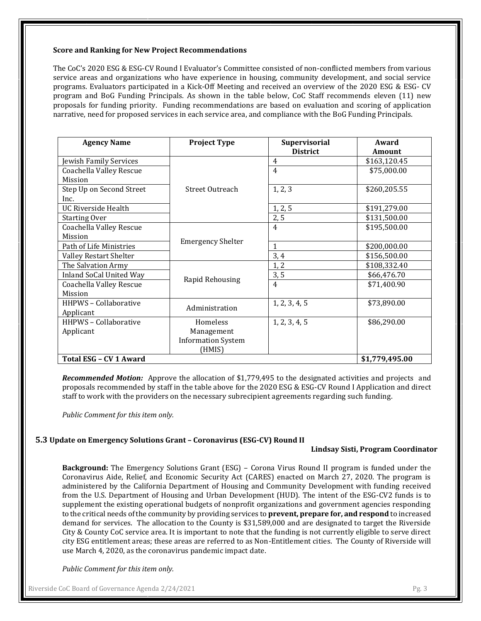#### **Score and Ranking for New Project Recommendations**

The CoC's 2020 ESG & ESG-CV Round I Evaluator's Committee consisted of non-conflicted members from various service areas and organizations who have experience in housing, community development, and social service programs. Evaluators participated in a Kick-Off Meeting and received an overview of the 2020 ESG & ESG- CV program and BoG Funding Principals. As shown in the table below, CoC Staff recommends eleven (11) new proposals for funding priority. Funding recommendations are based on evaluation and scoring of application narrative, need for proposed services in each service area, and compliance with the BoG Funding Principals.

| <b>Agency Name</b>             | <b>Project Type</b>       | <b>Supervisorial</b> | Award          |
|--------------------------------|---------------------------|----------------------|----------------|
|                                |                           | <b>District</b>      | <b>Amount</b>  |
| Jewish Family Services         |                           | 4                    | \$163,120.45   |
| Coachella Valley Rescue        |                           | $\overline{4}$       | \$75,000.00    |
| Mission                        |                           |                      |                |
| Step Up on Second Street       | Street Outreach           | 1, 2, 3              | \$260,205.55   |
| Inc.                           |                           |                      |                |
| <b>UC Riverside Health</b>     |                           | 1, 2, 5              | \$191,279.00   |
| <b>Starting Over</b>           |                           | 2, 5                 | \$131,500.00   |
| <b>Coachella Valley Rescue</b> |                           | $\overline{4}$       | \$195,500.00   |
| Mission                        |                           |                      |                |
| Path of Life Ministries        | <b>Emergency Shelter</b>  | 1                    | \$200,000.00   |
| Valley Restart Shelter         |                           | 3,4                  | \$156,500.00   |
| The Salvation Army             |                           | 1, 2                 | \$108,332.40   |
| <b>Inland SoCal United Way</b> | Rapid Rehousing           | 3, 5                 | \$66,476.70    |
| <b>Coachella Valley Rescue</b> |                           | $\overline{4}$       | \$71,400.90    |
| Mission                        |                           |                      |                |
| HHPWS - Collaborative          | Administration            | 1, 2, 3, 4, 5        | \$73,890.00    |
| Applicant                      |                           |                      |                |
| <b>HHPWS - Collaborative</b>   | Homeless                  | 1, 2, 3, 4, 5        | \$86,290.00    |
| Applicant                      | Management                |                      |                |
|                                | <b>Information System</b> |                      |                |
|                                | (HMIS)                    |                      |                |
| Total ESG - CV 1 Award         |                           |                      | \$1,779,495.00 |

*Recommended Motion:* Approve the allocation of \$1,779,495 to the designated activities and projects and proposals recommended by staff in the table above for the 2020 ESG & ESG-CV Round I Application and direct staff to work with the providers on the necessary subrecipient agreements regarding such funding.

*Public Comment for this item only.*

#### **5.3 Update on Emergency Solutions Grant – Coronavirus (ESG-CV) Round II**

#### **Lindsay Sisti, Program Coordinator**

**Background:** The Emergency Solutions Grant (ESG) – Corona Virus Round II program is funded under the Coronavirus Aide, Relief, and Economic Security Act (CARES) enacted on March 27, 2020. The program is administered by the California Department of Housing and Community Development with funding received from the U.S. Department of Housing and Urban Development (HUD). The intent of the ESG-CV2 funds is to supplement the existing operational budgets of nonprofit organizations and government agencies responding to the critical needs of the community by providing services to **prevent, prepare for, and respond** to increased demand for services. The allocation to the County is \$31,589,000 and are designated to target the Riverside City & County CoC service area. It is important to note that the funding is not currently eligible to serve direct city ESG entitlement areas; these areas are referred to as Non-Entitlement cities. The County of Riverside will use March 4, 2020, as the coronavirus pandemic impact date.

*Public Comment for this item only.*

Riverside CoC Board of Governance Agenda 2/24/2021 Pg. 3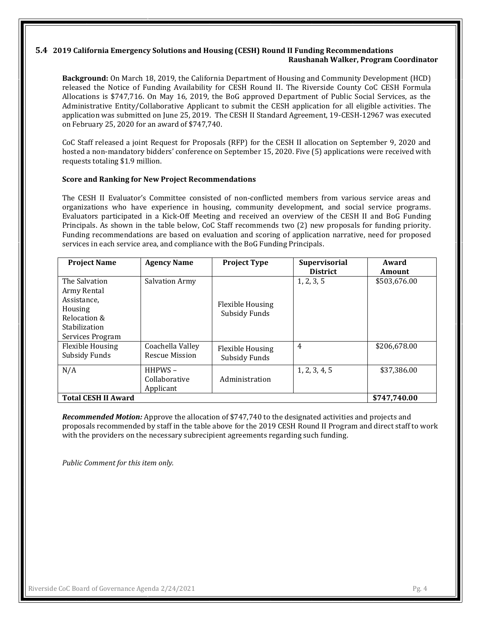#### **5.4 2019 California Emergency Solutions and Housing (CESH) Round II Funding Recommendations Raushanah Walker, Program Coordinator**

**Background:** On March 18, 2019, the California Department of Housing and Community Development (HCD) released the Notice of Funding Availability for CESH Round II. The Riverside County CoC CESH Formula Allocations is \$747,716. On May 16, 2019, the BoG approved Department of Public Social Services, as the Administrative Entity/Collaborative Applicant to submit the CESH application for all eligible activities. The application was submitted on June 25, 2019. The CESH II Standard Agreement, 19-CESH-12967 was executed on February 25, 2020 for an award of \$747,740.

CoC Staff released a joint Request for Proposals (RFP) for the CESH II allocation on September 9, 2020 and hosted a non-mandatory bidders' conference on September 15, 2020. Five (5) applications were received with requests totaling \$1.9 million.

#### **Score and Ranking for New Project Recommendations**

The CESH II Evaluator's Committee consisted of non-conflicted members from various service areas and organizations who have experience in housing, community development, and social service programs. Evaluators participated in a Kick-Off Meeting and received an overview of the CESH II and BoG Funding Principals. As shown in the table below, CoC Staff recommends two (2) new proposals for funding priority. Funding recommendations are based on evaluation and scoring of application narrative, need for proposed services in each service area, and compliance with the BoG Funding Principals.

| <b>Project Name</b>                                                                                         | <b>Agency Name</b>                        | <b>Project Type</b>                      | <b>Supervisorial</b><br><b>District</b> | Award<br>Amount |
|-------------------------------------------------------------------------------------------------------------|-------------------------------------------|------------------------------------------|-----------------------------------------|-----------------|
| The Salvation<br>Army Rental<br>Assistance,<br>Housing<br>Relocation &<br>Stabilization<br>Services Program | <b>Salvation Army</b>                     | <b>Flexible Housing</b><br>Subsidy Funds | 1, 2, 3, 5                              | \$503,676.00    |
| <b>Flexible Housing</b><br>Subsidy Funds                                                                    | Coachella Valley<br><b>Rescue Mission</b> | Flexible Housing<br>Subsidy Funds        | $\overline{4}$                          | \$206,678.00    |
| N/A                                                                                                         | $HHPWS -$<br>Collaborative<br>Applicant   | Administration                           | 1, 2, 3, 4, 5                           | \$37,386.00     |
| <b>Total CESH II Award</b>                                                                                  |                                           |                                          |                                         | \$747,740.00    |

*Recommended Motion:* Approve the allocation of \$747,740 to the designated activities and projects and proposals recommended by staff in the table above for the 2019 CESH Round II Program and direct staff to work with the providers on the necessary subrecipient agreements regarding such funding.

*Public Comment for this item only.*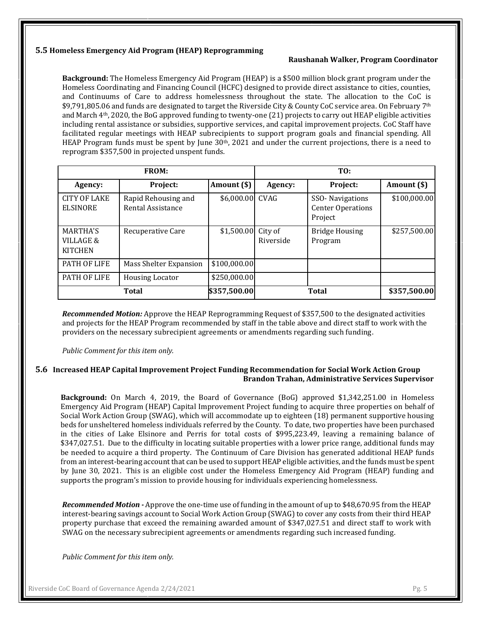#### **5.5 Homeless Emergency Aid Program (HEAP) Reprogramming**

#### **Raushanah Walker, Program Coordinator**

**Background:** The Homeless Emergency Aid Program (HEAP) is a \$500 million block grant program under the Homeless Coordinating and Financing Council (HCFC) designed to provide direct assistance to cities, counties, and Continuums of Care to address homelessness throughout the state. The allocation to the CoC is \$9,791,805.06 and funds are designated to target the Riverside City & County CoC service area. On February 7<sup>th</sup> and March 4th, 2020, the BoG approved funding to twenty-one (21) projects to carry out HEAP eligible activities including rental assistance or subsidies, supportive services, and capital improvement projects. CoC Staff have facilitated regular meetings with HEAP subrecipients to support program goals and financial spending. All HEAP Program funds must be spent by June 30th, 2021 and under the current projections, there is a need to reprogram \$357,500 in projected unspent funds.

| <b>FROM:</b>                                              |                                          | TO:             |                      |                                                        |              |
|-----------------------------------------------------------|------------------------------------------|-----------------|----------------------|--------------------------------------------------------|--------------|
| Agency:                                                   | Project:                                 | Amount (\$)     | Agency:              | Project:                                               | Amount (\$)  |
| <b>CITY OF LAKE</b><br><b>ELSINORE</b>                    | Rapid Rehousing and<br>Rental Assistance | \$6,000.00 CVAG |                      | SSO-Navigations<br><b>Center Operations</b><br>Project | \$100,000.00 |
| <b>MARTHA'S</b><br><b>VILLAGE &amp;</b><br><b>KITCHEN</b> | Recuperative Care                        | \$1,500.00      | City of<br>Riverside | <b>Bridge Housing</b><br>Program                       | \$257,500.00 |
| PATH OF LIFE                                              | Mass Shelter Expansion                   | \$100,000.00    |                      |                                                        |              |
| PATH OF LIFE                                              | <b>Housing Locator</b>                   | \$250,000.00    |                      |                                                        |              |
|                                                           | <b>Total</b>                             | \$357,500.00    |                      | Total                                                  | \$357,500.00 |

*Recommended Motion:* Approve the HEAP Reprogramming Request of \$357,500 to the designated activities and projects for the HEAP Program recommended by staff in the table above and direct staff to work with the providers on the necessary subrecipient agreements or amendments regarding such funding.

*Public Comment for this item only.*

#### **5.6 Increased HEAP Capital Improvement Project Funding Recommendation for Social Work Action Group Brandon Trahan, Administrative Services Supervisor**

**Background:** On March 4, 2019, the Board of Governance (BoG) approved \$1,342,251.00 in Homeless Emergency Aid Program (HEAP) Capital Improvement Project funding to acquire three properties on behalf of Social Work Action Group (SWAG), which will accommodate up to eighteen (18) permanent supportive housing beds for unsheltered homeless individuals referred by the County. To date, two properties have been purchased in the cities of Lake Elsinore and Perris for total costs of \$995,223.49, leaving a remaining balance of \$347,027.51. Due to the difficulty in locating suitable properties with a lower price range, additional funds may be needed to acquire a third property. The Continuum of Care Division has generated additional HEAP funds from an interest-bearing account that can be used to support HEAP eligible activities, and the funds must be spent by June 30, 2021. This is an eligible cost under the Homeless Emergency Aid Program (HEAP) funding and supports the program's mission to provide housing for individuals experiencing homelessness.

*Recommended Motion -* Approve the one-time use of funding in the amount of up to \$48,670.95 from the HEAP interest-bearing savings account to Social Work Action Group (SWAG) to cover any costs from their third HEAP property purchase that exceed the remaining awarded amount of \$347,027.51 and direct staff to work with SWAG on the necessary subrecipient agreements or amendments regarding such increased funding.

*Public Comment for this item only.*